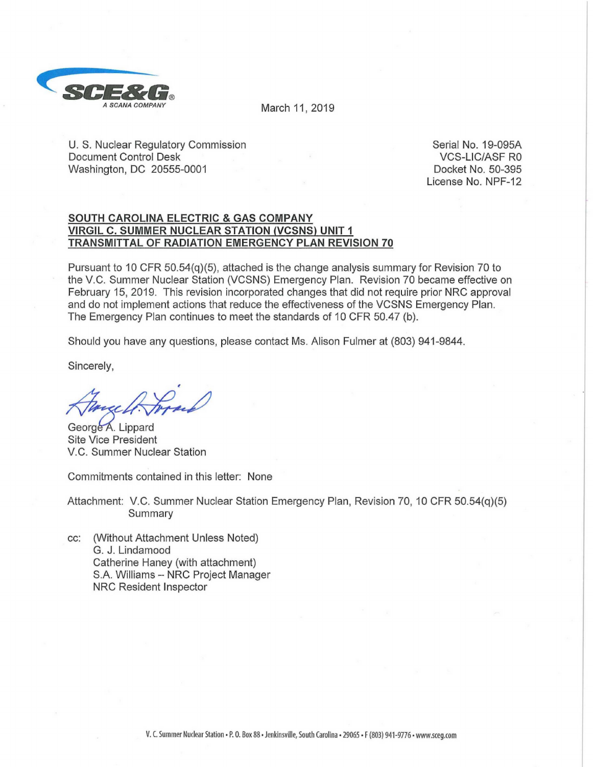

March 11, 2019

U. S. Nuclear Regulatory Commission Document Control Desk Washington, DC 20555-0001

Serial No. 19-095A VCS-LIC/ASF RO Docket No. 50-395 License No. NPF-12

## **SOUTH CAROLINA ELECTRIC & GAS COMPANY VIRGIL C. SUMMER NUCLEAR STATION (VCSNS) UNIT 1 TRANSMITTAL OF RADIATION EMERGENCY PLAN REVISION 70**

Pursuant to 10 CFR 50.54(q)(5), attached is the change analysis summary for Revision 70 to the V.C. Summer Nuclear Station (VCSNS) Emergency Plan. Revision 70 became effective on February 15, 2019. This revision incorporated changes that did not require prior NRC approval and do not implement actions that reduce the effectiveness of the VCSNS Emergency Plan. The Emergency Plan continues to meet the standards of 10 CFR 50.47 (b).

Should you have any questions, please contact Ms. Alison Fulmer at (803) 941-9844.

Sincerely,

, Alance A. Jores

V.C. Summer Nuclear Station

Commitments contained in this letter: None

Attachment: V.C. Summer Nuclear Station Emergency Plan, Revision 70, 10 CFR 50.54(q)(5) Summary

cc: (Without Attachment Unless Noted) G. J. Lindamood Catherine Haney (with attachment) S.A. Williams -- NRC Project Manager NRC Resident Inspector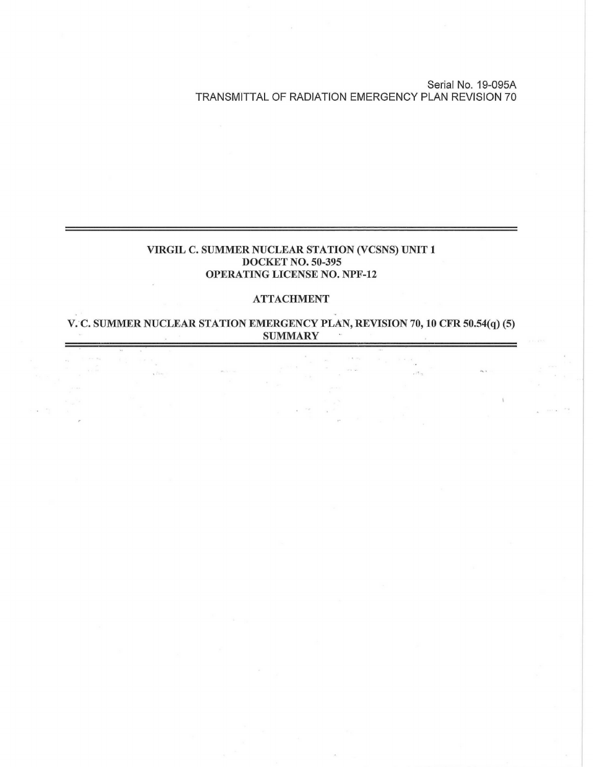Serial No. 19-095A TRANSMITTAL OF RADIATION EMERGENCY PLAN REVISION 70

## **VIRGIL C. SUMMER NUCLEAR STATION (VCSNS) UNIT 1 DOCKET NO. 50-395 OPERATING LICENSE NO. NPF-12**

## **ATTACHMENT**

**V. C. SUMMER NUCLEAR STATION EMERGENCY PLAN, REVISION** 70, **10 CFR 50.54(q) (5) SUMMARY**